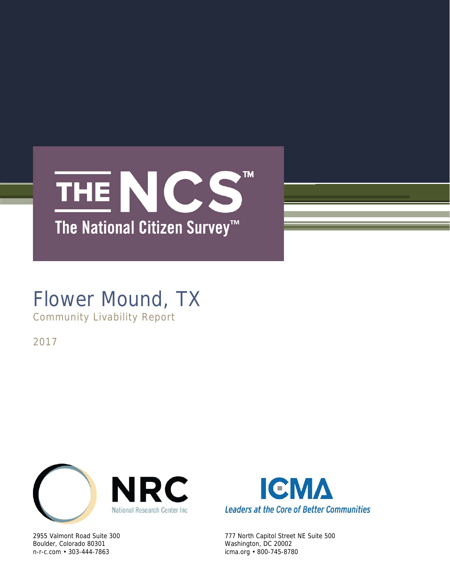

# Flower Mound, TX

Community Livability Report

2017



Boulder, Colorado 80301 Washington, DC 20002 n-r-c.com • 303-444-7863 icma.org • 800-745-8780



2955 Valmont Road Suite 300 777 North Capitol Street NE Suite 500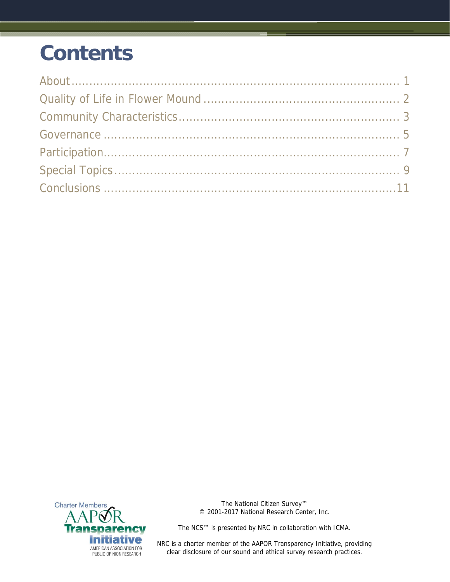# **Contents**



The National Citizen Survey™ © 2001-2017 National Research Center, Inc.

The NCS™ is presented by NRC in collaboration with ICMA.

NRC is a charter member of the AAPOR Transparency Initiative, providing clear disclosure of our sound and ethical survey research practices.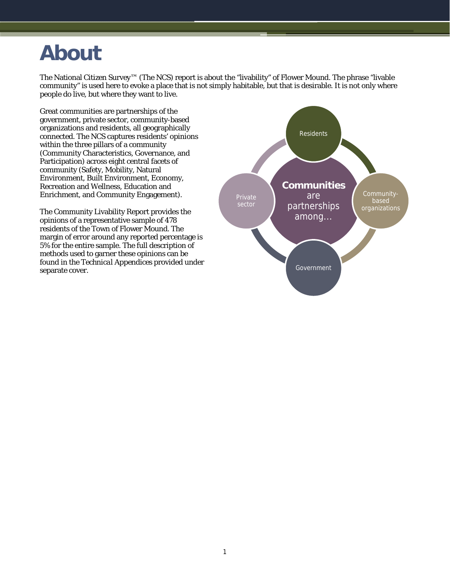# **About**

The National Citizen Survey™ (The NCS) report is about the "livability" of Flower Mound. The phrase "livable community" is used here to evoke a place that is not simply habitable, but that is desirable. It is not only where people do live, but where they want to live.

Great communities are partnerships of the government, private sector, community-based organizations and residents, all geographically connected. The NCS captures residents' opinions within the three pillars of a community (Community Characteristics, Governance, and Participation) across eight central facets of community (Safety, Mobility, Natural Environment, Built Environment, Economy, Recreation and Wellness, Education and Enrichment, and Community Engagement).

The Community Livability Report provides the opinions of a representative sample of 478 residents of the Town of Flower Mound. The margin of error around any reported percentage is 5% for the entire sample. The full description of methods used to garner these opinions can be found in the *Technical Appendices* provided under separate cover.

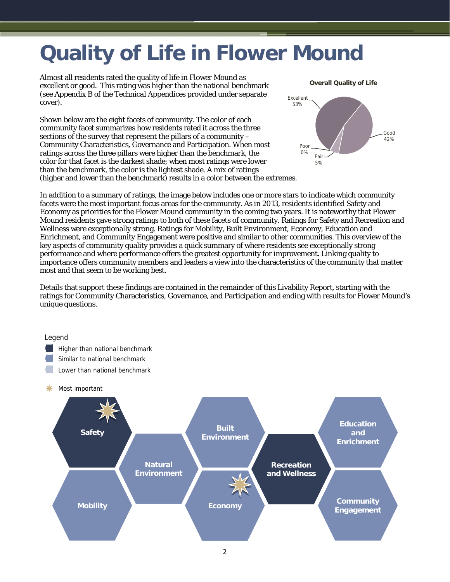# **Quality of Life in Flower Mound**

Almost all residents rated the quality of life in Flower Mound as excellent or good. This rating was higher than the national benchmark (see Appendix B of the *Technical Appendices* provided under separate cover).

Shown below are the eight facets of community. The color of each community facet summarizes how residents rated it across the three sections of the survey that represent the pillars of a community – Community Characteristics, Governance and Participation. When most ratings across the three pillars were higher than the benchmark, the color for that facet is the darkest shade; when most ratings were lower than the benchmark, the color is the lightest shade. A mix of ratings (higher and lower than the benchmark) results in a color between the extremes.



In addition to a summary of ratings, the image below includes one or more stars to indicate which community facets were the most important focus areas for the community. As in 2013, residents identified Safety and Economy as priorities for the Flower Mound community in the coming two years. It is noteworthy that Flower Mound residents gave strong ratings to both of these facets of community. Ratings for Safety and Recreation and Wellness were exceptionally strong. Ratings for Mobility, Built Environment, Economy, Education and Enrichment, and Community Engagement were positive and similar to other communities. This overview of the key aspects of community quality provides a quick summary of where residents see exceptionally strong performance and where performance offers the greatest opportunity for improvement. Linking quality to importance offers community members and leaders a view into the characteristics of the community that matter most and that seem to be working best.

Details that support these findings are contained in the remainder of this Livability Report, starting with the ratings for Community Characteristics, Governance, and Participation and ending with results for Flower Mound's unique questions.

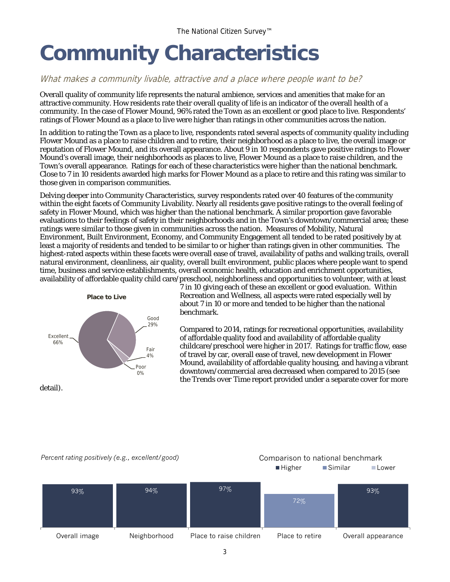# **Community Characteristics**

### What makes a community livable, attractive and a place where people want to be?

Overall quality of community life represents the natural ambience, services and amenities that make for an attractive community. How residents rate their overall quality of life is an indicator of the overall health of a community. In the case of Flower Mound, 96% rated the Town as an excellent or good place to live. Respondents' ratings of Flower Mound as a place to live were higher than ratings in other communities across the nation.

In addition to rating the Town as a place to live, respondents rated several aspects of community quality including Flower Mound as a place to raise children and to retire, their neighborhood as a place to live, the overall image or reputation of Flower Mound, and its overall appearance. About 9 in 10 respondents gave positive ratings to Flower Mound's overall image, their neighborhoods as places to live, Flower Mound as a place to raise children, and the Town's overall appearance. Ratings for each of these characteristics were higher than the national benchmark. Close to 7 in 10 residents awarded high marks for Flower Mound as a place to retire and this rating was similar to those given in comparison communities.

Delving deeper into Community Characteristics, survey respondents rated over 40 features of the community within the eight facets of Community Livability. Nearly all residents gave positive ratings to the overall feeling of safety in Flower Mound, which was higher than the national benchmark. A similar proportion gave favorable evaluations to their feelings of safety in their neighborhoods and in the Town's downtown/commercial area; these ratings were similar to those given in communities across the nation. Measures of Mobility, Natural Environment, Built Environment, Economy, and Community Engagement all tended to be rated positively by at least a majority of residents and tended to be similar to or higher than ratings given in other communities. The highest-rated aspects within these facets were overall ease of travel, availability of paths and walking trails, overall natural environment, cleanliness, air quality, overall built environment, public places where people want to spend time, business and service establishments, overall economic health, education and enrichment opportunities, availability of affordable quality child care/preschool, neighborliness and opportunities to volunteer, with at least



7 in 10 giving each of these an excellent or good evaluation. Within Recreation and Wellness, all aspects were rated especially well by about 7 in 10 or more and tended to be higher than the national benchmark.

Compared to 2014, ratings for recreational opportunities, availability of affordable quality food and availability of affordable quality childcare/preschool were higher in 2017. Ratings for traffic flow, ease of travel by car, overall ease of travel, new development in Flower Mound, availability of affordable quality housing, and having a vibrant downtown/commercial area decreased when compared to 2015 (see the *Trends over Time* report provided under a separate cover for more

detail).

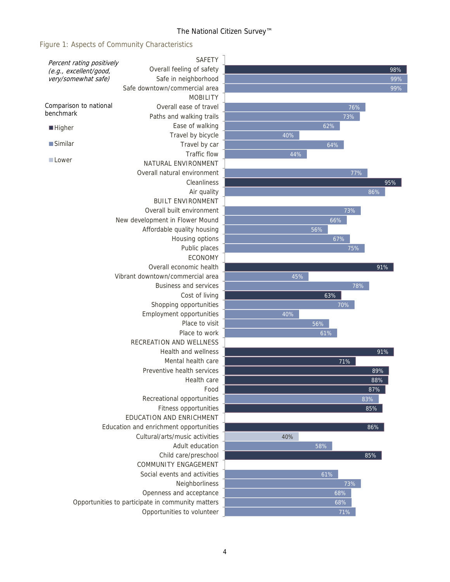#### The National Citizen Survey™

Figure 1: Aspects of Community Characteristics

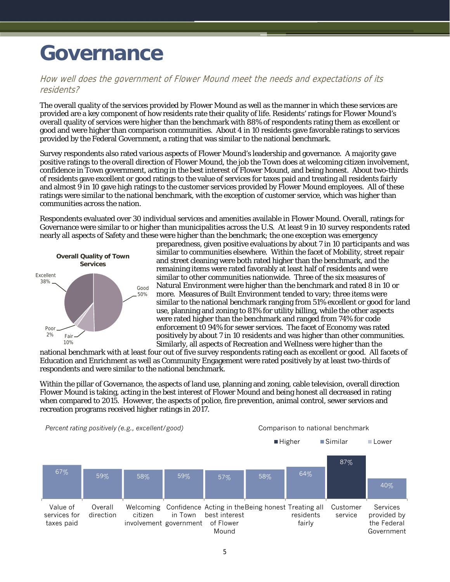# **Governance**

### How well does the government of Flower Mound meet the needs and expectations of its residents?

The overall quality of the services provided by Flower Mound as well as the manner in which these services are provided are a key component of how residents rate their quality of life. Residents' ratings for Flower Mound's overall quality of services were higher than the benchmark with 88% of respondents rating them as excellent or good and were higher than comparison communities. About 4 in 10 residents gave favorable ratings to services provided by the Federal Government, a rating that was similar to the national benchmark.

Survey respondents also rated various aspects of Flower Mound's leadership and governance. A majority gave positive ratings to the overall direction of Flower Mound, the job the Town does at welcoming citizen involvement, confidence in Town government, acting in the best interest of Flower Mound, and being honest. About two-thirds of residents gave excellent or good ratings to the value of services for taxes paid and treating all residents fairly and almost 9 in 10 gave high ratings to the customer services provided by Flower Mound employees. All of these ratings were similar to the national benchmark, with the exception of customer service, which was higher than communities across the nation.

Respondents evaluated over 30 individual services and amenities available in Flower Mound. Overall, ratings for Governance were similar to or higher than municipalities across the U.S. At least 9 in 10 survey respondents rated nearly all aspects of Safety and these were higher than the benchmark; the one exception was emergency



preparedness, given positive evaluations by about 7 in 10 participants and was similar to communities elsewhere. Within the facet of Mobility, street repair and street cleaning were both rated higher than the benchmark, and the remaining items were rated favorably at least half of residents and were similar to other communities nationwide. Three of the six measures of Natural Environment were higher than the benchmark and rated 8 in 10 or more. Measures of Built Environment tended to vary; three items were similar to the national benchmark ranging from 51% excellent or good for land use, planning and zoning to 81% for utility billing, while the other aspects were rated higher than the benchmark and ranged from 74% for code enforcement t0 94% for sewer services. The facet of Economy was rated positively by about 7 in 10 residents and was higher than other communities. Similarly, all aspects of Recreation and Wellness were higher than the

national benchmark with at least four out of five survey respondents rating each as excellent or good. All facets of Education and Enrichment as well as Community Engagement were rated positively by at least two-thirds of respondents and were similar to the national benchmark.

Within the pillar of Governance, the aspects of land use, planning and zoning, cable television, overall direction Flower Mound is taking, acting in the best interest of Flower Mound and being honest all decreased in rating when compared to 2015. However, the aspects of police, fire prevention, animal control, sewer services and recreation programs received higher ratings in 2017.

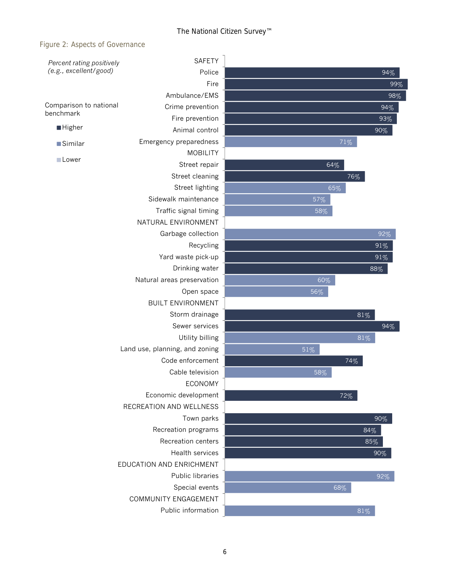#### Figure 2: Aspects of Governance

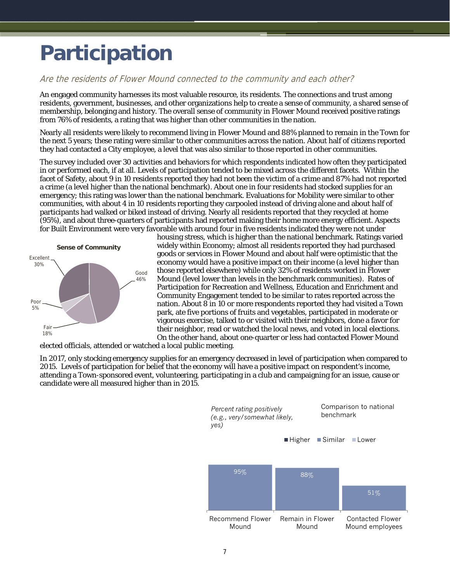# **Participation**

### Are the residents of Flower Mound connected to the community and each other?

An engaged community harnesses its most valuable resource, its residents. The connections and trust among residents, government, businesses, and other organizations help to create a sense of community, a shared sense of membership, belonging and history. The overall sense of community in Flower Mound received positive ratings from 76% of residents, a rating that was higher than other communities in the nation.

Nearly all residents were likely to recommend living in Flower Mound and 88% planned to remain in the Town for the next 5 years; these rating were similar to other communities across the nation. About half of citizens reported they had contacted a City employee, a level that was also similar to those reported in other communities.

The survey included over 30 activities and behaviors for which respondents indicated how often they participated in or performed each, if at all. Levels of participation tended to be mixed across the different facets. Within the facet of Safety, about 9 in 10 residents reported they had not been the victim of a crime and 87% had not reported a crime (a level higher than the national benchmark). About one in four residents had stocked supplies for an emergency; this rating was lower than the national benchmark. Evaluations for Mobility were similar to other communities, with about 4 in 10 residents reporting they carpooled instead of driving alone and about half of participants had walked or biked instead of driving. Nearly all residents reported that they recycled at home (95%), and about three-quarters of participants had reported making their home more energy efficient. Aspects for Built Environment were very favorable with around four in five residents indicated they were not under



housing stress, which is higher than the national benchmark. Ratings varied widely within Economy; almost all residents reported they had purchased goods or services in Flower Mound and about half were optimistic that the economy would have a positive impact on their income (a level higher than those reported elsewhere) while only 32% of residents worked in Flower Mound (level lower than levels in the benchmark communities). Rates of Participation for Recreation and Wellness, Education and Enrichment and Community Engagement tended to be similar to rates reported across the nation. About 8 in 10 or more respondents reported they had visited a Town park, ate five portions of fruits and vegetables, participated in moderate or vigorous exercise, talked to or visited with their neighbors, done a favor for their neighbor, read or watched the local news, and voted in local elections. On the other hand, about one-quarter or less had contacted Flower Mound

elected officials, attended or watched a local public meeting.

In 2017, only stocking emergency supplies for an emergency decreased in level of participation when compared to 2015. Levels of participation for belief that the economy will have a positive impact on respondent's income, attending a Town-sponsored event, volunteering, participating in a club and campaigning for an issue, cause or candidate were all measured higher than in 2015.

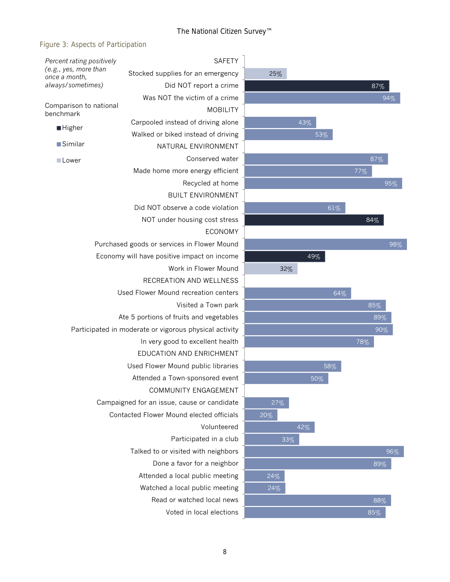## Figure 3: Aspects of Participation

| Percent rating positively                                   | <b>SAFETY</b>                                          |          |
|-------------------------------------------------------------|--------------------------------------------------------|----------|
| (e.g., yes, more than<br>once a month,<br>always/sometimes) | Stocked supplies for an emergency                      | 25%      |
|                                                             | Did NOT report a crime                                 |          |
|                                                             | Was NOT the victim of a crime                          |          |
| Comparison to national<br>benchmark                         | <b>MOBILITY</b>                                        |          |
|                                                             | Carpooled instead of driving alone                     |          |
| <b>Higher</b>                                               | Walked or biked instead of driving                     |          |
| ■Similar                                                    | NATURAL ENVIRONMENT                                    |          |
| <b>Lower</b>                                                | Conserved water                                        |          |
|                                                             | Made home more energy efficient                        |          |
|                                                             | Recycled at home                                       |          |
|                                                             | <b>BUILT ENVIRONMENT</b>                               |          |
|                                                             | Did NOT observe a code violation                       |          |
|                                                             | NOT under housing cost stress                          |          |
|                                                             | <b>ECONOMY</b>                                         |          |
|                                                             | Purchased goods or services in Flower Mound            |          |
|                                                             | Economy will have positive impact on income            |          |
|                                                             | Work in Flower Mound                                   |          |
|                                                             | RECREATION AND WELLNESS                                |          |
|                                                             | Used Flower Mound recreation centers                   |          |
|                                                             | Visited a Town park                                    |          |
|                                                             | Ate 5 portions of fruits and vegetables                |          |
|                                                             | Participated in moderate or vigorous physical activity |          |
|                                                             |                                                        |          |
|                                                             |                                                        |          |
|                                                             | Used Flower Mound public libraries                     |          |
|                                                             | Attended a Town-sponsored event                        |          |
|                                                             | <b>COMMUNITY ENGAGEMENT</b>                            |          |
|                                                             | Campaigned for an issue, cause or candidate            | $27^{6}$ |
|                                                             | Contacted Flower Mound elected officials               | 20%      |
|                                                             | Volunteered                                            |          |
|                                                             | Participated in a club                                 |          |
|                                                             | Talked to or visited with neighbors                    |          |
|                                                             | Done a favor for a neighbor                            |          |
|                                                             | Attended a local public meeting                        | 24%      |
|                                                             | Watched a local public meeting                         | 24%      |
|                                                             | Read or watched local news                             |          |
|                                                             | Voted in local elections                               |          |

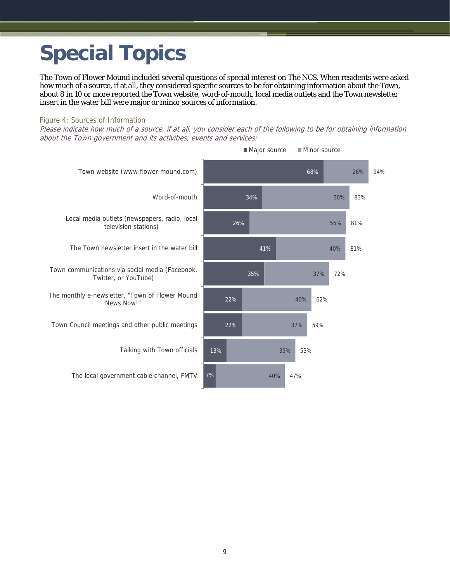# **Special Topics**

The Town of Flower Mound included several questions of special interest on The NCS. When residents were asked how much of a source, if at all, they considered specific sources to be for obtaining information about the Town, about 8 in 10 or more reported the Town website, word-of-mouth, local media outlets and the Town newsletter insert in the water bill were major or minor sources of information.

#### Figure 4: Sources of Information

Please indicate how much of a source, if at all, you consider each of the following to be for obtaining information about the Town government and its activities, events and services:

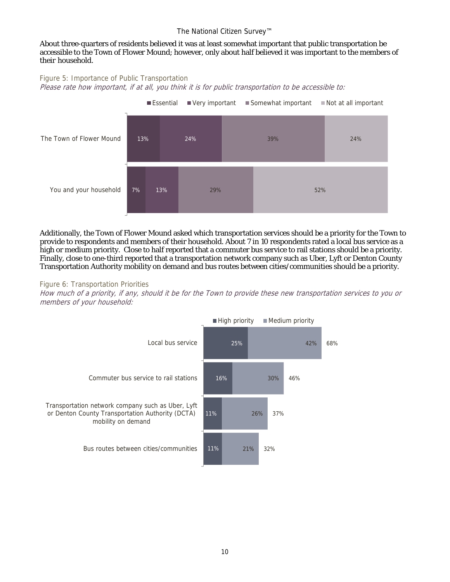#### The National Citizen Survey™

#### About three-quarters of residents believed it was at least somewhat important that public transportation be accessible to the Town of Flower Mound; however, only about half believed it was important to the members of their household.

#### Figure 5: Importance of Public Transportation Please rate how important, if at all, you think it is for public transportation to be accessible to:



Additionally, the Town of Flower Mound asked which transportation services should be a priority for the Town to provide to respondents and members of their household. About 7 in 10 respondents rated a local bus service as a high or medium priority. Close to half reported that a commuter bus service to rail stations should be a priority. Finally, close to one-third reported that a transportation network company such as Uber, Lyft or Denton County Transportation Authority mobility on demand and bus routes between cities/communities should be a priority.

#### Figure 6: Transportation Priorities

How much of a priority, if any, should it be for the Town to provide these new transportation services to you or members of your household: